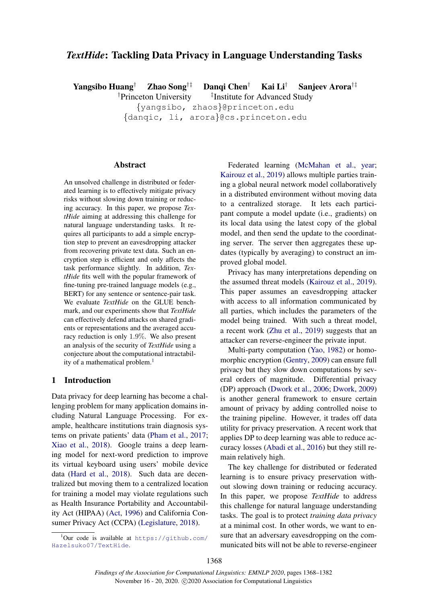# *TextHide*: Tackling Data Privacy in Language Understanding Tasks

Yangsibo Huang† Zhao Song†‡ Danqi Chen† Kai Li† Sanjeev Arora†‡

†Princeton University <sup>‡</sup>Institute for Advanced Study

{yangsibo, zhaos}@princeton.edu {danqic, li, arora}@cs.princeton.edu

## Abstract

An unsolved challenge in distributed or federated learning is to effectively mitigate privacy risks without slowing down training or reducing accuracy. In this paper, we propose *TextHide* aiming at addressing this challenge for natural language understanding tasks. It requires all participants to add a simple encryption step to prevent an eavesdropping attacker from recovering private text data. Such an encryption step is efficient and only affects the task performance slightly. In addition, *TextHide* fits well with the popular framework of fine-tuning pre-trained language models (e.g., BERT) for any sentence or sentence-pair task. We evaluate *TextHide* on the GLUE benchmark, and our experiments show that *TextHide* can effectively defend attacks on shared gradients or representations and the averaged accuracy reduction is only 1.9%. We also present an analysis of the security of *TextHide* using a conjecture about the computational intractabil-ity of a mathematical problem.<sup>[1](#page-0-0)</sup>

## 1 Introduction

Data privacy for deep learning has become a challenging problem for many application domains including Natural Language Processing. For example, healthcare institutions train diagnosis systems on private patients' data [\(Pham et al.,](#page-11-0) [2017;](#page-11-0) [Xiao et al.,](#page-11-1) [2018\)](#page-11-1). Google trains a deep learning model for next-word prediction to improve its virtual keyboard using users' mobile device data [\(Hard et al.,](#page-10-0) [2018\)](#page-10-0). Such data are decentralized but moving them to a centralized location for training a model may violate regulations such as Health Insurance Portability and Accountability Act (HIPAA) [\(Act,](#page-9-0) [1996\)](#page-9-0) and California Consumer Privacy Act (CCPA) [\(Legislature,](#page-10-1) [2018\)](#page-10-1).

Federated learning [\(McMahan et al.,](#page-10-2) [year;](#page-10-2) [Kairouz et al.,](#page-10-3) [2019\)](#page-10-3) allows multiple parties training a global neural network model collaboratively in a distributed environment without moving data to a centralized storage. It lets each participant compute a model update (i.e., gradients) on its local data using the latest copy of the global model, and then send the update to the coordinating server. The server then aggregates these updates (typically by averaging) to construct an improved global model.

Privacy has many interpretations depending on the assumed threat models [\(Kairouz et al.,](#page-10-3) [2019\)](#page-10-3). This paper assumes an eavesdropping attacker with access to all information communicated by all parties, which includes the parameters of the model being trained. With such a threat model, a recent work [\(Zhu et al.,](#page-11-2) [2019\)](#page-11-2) suggests that an attacker can reverse-engineer the private input.

Multi-party computation [\(Yao,](#page-11-3) [1982\)](#page-11-3) or homomorphic encryption [\(Gentry,](#page-9-1) [2009\)](#page-9-1) can ensure full privacy but they slow down computations by several orders of magnitude. Differential privacy (DP) approach [\(Dwork et al.,](#page-9-2) [2006;](#page-9-2) [Dwork,](#page-9-3) [2009\)](#page-9-3) is another general framework to ensure certain amount of privacy by adding controlled noise to the training pipeline. However, it trades off data utility for privacy preservation. A recent work that applies DP to deep learning was able to reduce accuracy losses [\(Abadi et al.,](#page-9-4) [2016\)](#page-9-4) but they still remain relatively high.

The key challenge for distributed or federated learning is to ensure privacy preservation without slowing down training or reducing accuracy. In this paper, we propose *TextHide* to address this challenge for natural language understanding tasks. The goal is to protect *training data privacy* at a minimal cost. In other words, we want to ensure that an adversary eavesdropping on the communicated bits will not be able to reverse-engineer

<span id="page-0-0"></span> $1$ Our code is available at https://qithub.com/ [Hazelsuko07/TextHide](https://github.com/Hazelsuko07/TextHide).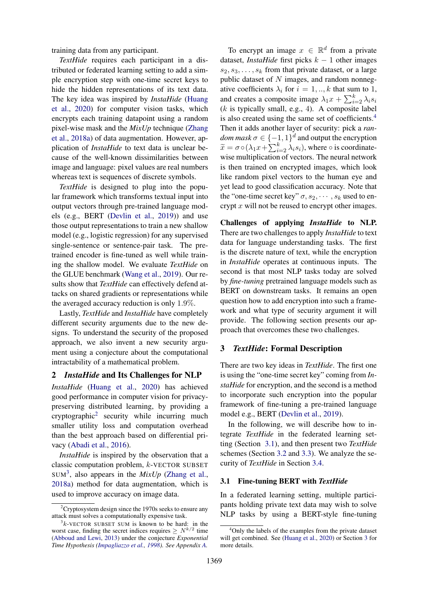training data from any participant.

*TextHide* requires each participant in a distributed or federated learning setting to add a simple encryption step with one-time secret keys to hide the hidden representations of its text data. The key idea was inspired by *InstaHide* [\(Huang](#page-10-4) [et al.,](#page-10-4) [2020\)](#page-10-4) for computer vision tasks, which encrypts each training datapoint using a random pixel-wise mask and the *MixUp* technique [\(Zhang](#page-11-4) [et al.,](#page-11-4) [2018a\)](#page-11-4) of data augmentation. However, application of *InstaHide* to text data is unclear because of the well-known dissimilarities between image and language: pixel values are real numbers whereas text is sequences of discrete symbols.

*TextHide* is designed to plug into the popular framework which transforms textual input into output vectors through pre-trained language models (e.g., BERT [\(Devlin et al.,](#page-9-5) [2019\)](#page-9-5)) and use those output representations to train a new shallow model (e.g., logistic regression) for any supervised single-sentence or sentence-pair task. The pretrained encoder is fine-tuned as well while training the shallow model. We evaluate *TextHide* on the GLUE benchmark [\(Wang et al.,](#page-11-5) [2019\)](#page-11-5). Our results show that *TextHide* can effectively defend attacks on shared gradients or representations while the averaged accuracy reduction is only 1.9%.

Lastly, *TextHide* and *InstaHide* have completely different security arguments due to the new designs. To understand the security of the proposed approach, we also invent a new security argument using a conjecture about the computational intractability of a mathematical problem.

## <span id="page-1-5"></span>2 *InstaHide* and Its Challenges for NLP

*InstaHide* [\(Huang et al.,](#page-10-4) [2020\)](#page-10-4) has achieved good performance in computer vision for privacypreserving distributed learning, by providing a cryptographic<sup>[2](#page-1-0)</sup> security while incurring much smaller utility loss and computation overhead than the best approach based on differential privacy [\(Abadi et al.,](#page-9-4) [2016\)](#page-9-4).

*InstaHide* is inspired by the observation that a classic computation problem, k-VECTOR SUBSET  $SUM<sup>3</sup>$  $SUM<sup>3</sup>$  $SUM<sup>3</sup>$ , also appears in the *MixUp* [\(Zhang et al.,](#page-11-4) [2018a\)](#page-11-4) method for data augmentation, which is used to improve accuracy on image data.

To encrypt an image  $x \in \mathbb{R}^d$  from a private dataset, *InstaHide* first picks  $k - 1$  other images  $s_2, s_3, \ldots, s_k$  from that private dataset, or a large public dataset of  $N$  images, and random nonnegative coefficients  $\lambda_i$  for  $i = 1, \dots, k$  that sum to 1, and creates a composite image  $\lambda_1 x + \sum_{i=2}^{k} \lambda_i s_i$  $(k$  is typically small, e.g., 4). A composite label is also created using the same set of coefficients.<sup>[4](#page-1-2)</sup> Then it adds another layer of security: pick a *ran* $dom \, mask \, \sigma \in \{-1, 1\}^d$  and output the encryption  $\widetilde{x} = \sigma \circ (\lambda_1 x + \sum_{i=2}^k \lambda_i s_i)$ , where  $\circ$  is coordinatewise multiplication of vectors. The neural network is then trained on encrypted images, which look like random pixel vectors to the human eye and yet lead to good classification accuracy. Note that the "one-time secret key"  $\sigma$ ,  $s_2$ ,  $\cdots$ ,  $s_k$  used to encrypt  $x$  will not be reused to encrypt other images.

Challenges of applying *InstaHide* to NLP. There are two challenges to apply *InstaHide* to text data for language understanding tasks. The first is the discrete nature of text, while the encryption in *InstaHide* operates at continuous inputs. The second is that most NLP tasks today are solved by *fine-tuning* pretrained language models such as BERT on downstream tasks. It remains an open question how to add encryption into such a framework and what type of security argument it will provide. The following section presents our approach that overcomes these two challenges.

## <span id="page-1-4"></span>3 *TextHide*: Formal Description

There are two key ideas in *TextHide*. The first one is using the "one-time secret key" coming from *InstaHide* for encryption, and the second is a method to incorporate such encryption into the popular framework of fine-tuning a pre-trained language model e.g., BERT [\(Devlin et al.,](#page-9-5) [2019\)](#page-9-5).

In the following, we will describe how to integrate *TextHide* in the federated learning setting (Section [3.1\)](#page-1-3), and then present two *TextHide* schemes (Section [3.2](#page-2-0) and [3.3\)](#page-3-0). We analyze the security of *TextHide* in Section [3.4.](#page-4-0)

## <span id="page-1-3"></span>3.1 Fine-tuning BERT with *TextHide*

In a federated learning setting, multiple participants holding private text data may wish to solve NLP tasks by using a BERT-style fine-tuning

<span id="page-1-0"></span> $2C$ ryptosystem design since the 1970s seeks to ensure any attack must solves a computationally expensive task.

<span id="page-1-1"></span> $3k$ -VECTOR SUBSET SUM is known to be hard: in the worst case, finding the secret indices requires  $\geq N^{k/2}$  time [\(Abboud and Lewi,](#page-9-6) [2013\)](#page-9-6) under the conjecture *Exponential Time Hypothesis [\(Impagliazzo et al.,](#page-10-5) [1998\)](#page-10-5). See Appendix [A.](#page-12-0)*

<span id="page-1-2"></span><sup>&</sup>lt;sup>4</sup>Only the labels of the examples from the private dataset will get combined. See [\(Huang et al.,](#page-10-4) [2020\)](#page-10-4) or Section [3](#page-1-4) for more details.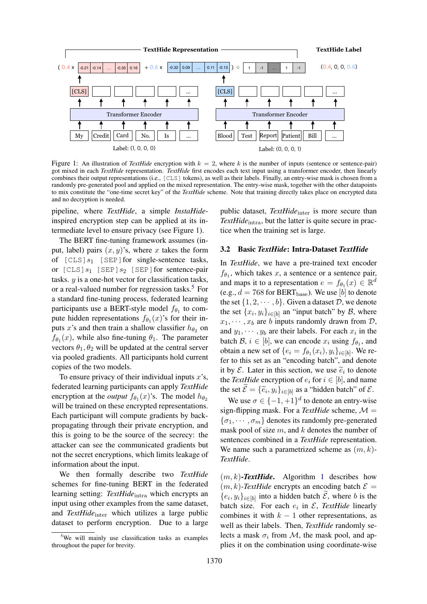<span id="page-2-1"></span>

Figure 1: An illustration of *TextHide* encryption with  $k = 2$ , where k is the number of inputs (sentence or sentence-pair) got mixed in each *TextHide* representation. *TextHide* first encodes each text input using a transformer encoder, then linearly combines their output representations (i.e., [CLS] tokens), as well as their labels. Finally, an entry-wise mask is chosen from a randomly pre-generated pool and applied on the mixed representation. The entry-wise mask, together with the other datapoints to mix constitute the "one-time secret key" of the *TextHide* scheme. Note that training directly takes place on encrypted data and no decryption is needed.

pipeline, where *TextHide*, a simple *InstaHide*inspired encryption step can be applied at its intermediate level to ensure privacy (see Figure [1\)](#page-2-1).

The BERT fine-tuning framework assumes (input, label) pairs  $(x, y)$ 's, where x takes the form of  $[CLS]s_1$  [SEP] for single-sentence tasks, or  $[CLS]s_1$   $[SEP]s_2$   $[SEP]$  for sentence-pair tasks.  $y$  is a one-hot vector for classification tasks, or a real-valued number for regression tasks.<sup>[5](#page-2-2)</sup> For a standard fine-tuning process, federated learning participants use a BERT-style model  $f_{\theta_1}$  to compute hidden representations  $f_{\theta_1}(x)$ 's for their inputs x's and then train a shallow classifier  $h_{\theta_2}$  on  $f_{\theta_1}(x)$ , while also fine-tuning  $\theta_1$ . The parameter vectors  $\theta_1, \theta_2$  will be updated at the central server via pooled gradients. All participants hold current copies of the two models.

To ensure privacy of their individual inputs  $x$ 's, federated learning participants can apply *TextHide* encryption at the *output*  $f_{\theta_1}(x)$ 's. The model  $h_{\theta_2}$ will be trained on these encrypted representations. Each participant will compute gradients by backpropagating through their private encryption, and this is going to be the source of the secrecy: the attacker can see the communicated gradients but not the secret encryptions, which limits leakage of information about the input.

We then formally describe two *TextHide* schemes for fine-tuning BERT in the federated learning setting: TextHide<sub>intra</sub> which encrypts an input using other examples from the same dataset, and *TextHide*<sub>inter</sub> which utilizes a large public dataset to perform encryption. Due to a large public dataset, *TextHide*<sub>inter</sub> is more secure than *TextHide*<sub>intra</sub>, but the latter is quite secure in practice when the training set is large.

#### <span id="page-2-0"></span>3.2 Basic *TextHide*: Intra-Dataset *TextHide*

In *TextHide*, we have a pre-trained text encoder  $f_{\theta_1}$ , which takes x, a sentence or a sentence pair, and maps it to a representation  $e = f_{\theta_1}(x) \in \mathbb{R}^d$ (e.g.,  $d = 768$  for BERT<sub>base</sub>). We use [b] to denote the set  $\{1, 2, \dots, b\}$ . Given a dataset  $D$ , we denote the set  $\{x_i, y_i\}_{i \in [b]}$  an "input batch" by  $\mathcal{B}$ , where  $x_1, \dots, x_b$  are b inputs randomly drawn from  $\mathcal{D}$ , and  $y_1, \dots, y_b$  are their labels. For each  $x_i$  in the batch  $\mathcal{B}, i \in [b]$ , we can encode  $x_i$  using  $f_{\theta_1}$ , and obtain a new set of  $\{e_i = f_{\theta_1}(x_i), y_i\}_{i \in [b]}$ . We refer to this set as an "encoding batch", and denote it by  $\mathcal{E}$ . Later in this section, we use  $\tilde{e}_i$  to denote<br>the *TaxtHide* operation of e-for  $i \in [h]$  and name the *TextHide* encryption of  $e_i$  for  $i \in [b]$ , and name the set  $\mathcal{E} = {\{\tilde{e}_i, y_i\}}_{i \in [b]}$  as a "hidden batch" of  $\mathcal{E}$ .

We use  $\sigma \in \{-1, +1\}^d$  to denote an entry-wise sign-flipping mask. For a *TextHide* scheme,  $M =$  ${\lbrace \sigma_1, \cdots, \sigma_m \rbrace}$  denotes its randomly pre-generated mask pool of size  $m$ , and  $k$  denotes the number of sentences combined in a *TextHide* representation. We name such a parametrized scheme as  $(m, k)$ -*TextHide*.

 $(m, k)$ -**TextHide.** Algorithm [1](#page-3-1) describes how  $(m, k)$ -*TextHide* encrypts an encoding batch  $\mathcal{E} =$  ${e_i, y_i}_{i \in [b]}$  into a hidden batch  $\mathcal{E}$ , where b is the batch size. For each  $e_i$  in  $\mathcal{E}$ , *TextHide* linearly combines it with  $k - 1$  other representations, as well as their labels. Then, *TextHide* randomly selects a mask  $\sigma_i$  from M, the mask pool, and applies it on the combination using coordinate-wise

<span id="page-2-2"></span><sup>&</sup>lt;sup>5</sup>We will mainly use classification tasks as examples throughout the paper for brevity.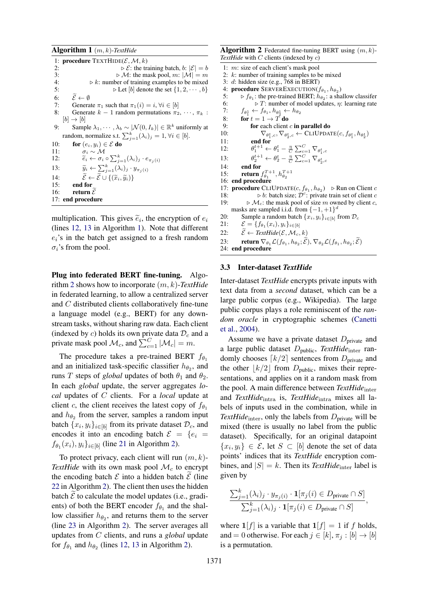<span id="page-3-1"></span>Algorithm 1 (m, k)-*TextHide* 1: **procedure** TEXTHIDE( $\mathcal{E}, \mathcal{M}, k$ )<br>2:  $\triangleright \mathcal{E}$ : the tr  $\triangleright \mathcal{E}$ : the training batch, b:  $|\mathcal{E}| = b$ 3:  $\triangleright \mathcal{M}$ : the mask pool,  $m: |\mathcal{M}| = m$ <br>4:  $\triangleright k$ : number of training examples to be mixed 4:  $\triangleright k$ : number of training examples to be mixed<br>5:  $\triangleright \text{Let } [b]$  denote the set  $\{1, 2, \dots, b\}$  $\triangleright$  Let [b] denote the set  $\{1, 2, \cdots, b\}$ 6:  $\widetilde{\mathcal{E}} \leftarrow \emptyset$ <br>7: Genera Generate  $\pi_1$  such that  $\pi_1(i) = i, \forall i \in [b]$ 8: Generate  $k - 1$  random permutations  $\pi_2, \dots, \pi_k$ :  $[b] \rightarrow [b]$ 9: Sample  $\lambda_1, \dots, \lambda_b \sim |\mathcal{N}(0, I_k)| \in \mathbb{R}^k$  uniformly at random, normalize s.t.  $\sum_{j=1}^{k} (\lambda_i)_j = 1$ ,  $\forall i \in [b]$ . 10: for  $(e_i, y_i) \in \mathcal{E}$  do 11:  $\sigma_i \sim \mathcal{M}$ 12:  $\widetilde{e}_i \leftarrow \sigma_i \circ \sum_{j=1}^k (\lambda_i)_j \cdot e_{\pi_j(i)}$ 13:  $\widetilde{y}_i \leftarrow \sum_{j=1}^k (\lambda_i)_j \cdot y_{\pi_j(i)}$ 14:  $\tilde{\mathcal{E}} \leftarrow \tilde{\mathcal{E}} \cup \{(\tilde{x}_i, \tilde{y}_i)\}\$ <br>15: **end for** end for 16: return  $\tilde{\mathcal{E}}$ 17: end procedure

multiplication. This gives  $\tilde{e}_i$ , the encryption of  $e_i$ <br>(lines 12, 13 in Algorithm 1). Note that different (lines [12,](#page-3-1) [13](#page-3-1) in Algorithm [1\)](#page-3-1). Note that different  $e_i$ 's in the batch get assigned to a fresh random  $\sigma_i$ 's from the pool.

Plug into federated BERT fine-tuning. Algorithm [2](#page-3-2) shows how to incorporate (m, k)-*TextHide* in federated learning, to allow a centralized server and C distributed clients collaboratively fine-tune a language model (e.g., BERT) for any downstream tasks, without sharing raw data. Each client (indexed by c) holds its own private data  $\mathcal{D}_c$  and a private mask pool  $\mathcal{M}_c$ , and  $\sum_{c=1}^{C} |\mathcal{M}_c| = m$ .

The procedure takes a pre-trained BERT  $f_{\theta_1}$ and an initialized task-specific classifier  $h_{\theta_2}$ , and runs T steps of *global* updates of both  $\theta_1$  and  $\theta_2$ . In each *global* update, the server aggregates *local* updates of C clients. For a *local* update at client c, the client receives the latest copy of  $f_{\theta_1}$ and  $h_{\theta_2}$  from the server, samples a random input batch  $\{x_i, y_i\}_{i \in [b]}$  from its private dataset  $\mathcal{D}_c$ , and encodes it into an encoding batch  $\mathcal{E} = \{e_i =$  $f_{\theta_1}(x_i), y_i\}_{i \in [b]}$  (line [21](#page-3-2) in Algorithm [2\)](#page-3-2).

To protect privacy, each client will run  $(m, k)$ -*TextHide* with its own mask pool  $\mathcal{M}_c$  to encrypt the encoding batch  $\mathcal E$  into a hidden batch  $\mathcal E$  (line [22](#page-3-2) in Algorithm [2\)](#page-3-2). The client then uses the hidden batch  $\mathcal E$  to calculate the model updates (i.e., gradients) of both the BERT encoder  $f_{\theta_1}$  and the shallow classifier  $h_{\theta_2}$ , and returns them to the server (line [23](#page-3-2) in Algorithm [2\)](#page-3-2). The server averages all updates from C clients, and runs a *global* update for  $f_{\theta_1}$  and  $h_{\theta_2}$  (lines [12,](#page-3-2) [13](#page-3-2) in Algorithm [2\)](#page-3-2).

<span id="page-3-2"></span>**Algorithm 2** Federated fine-tuning BERT using  $(m, k)$ -*TextHide* with C clients (indexed by c)

```
1: m: size of each client's mask pool
 2: k: number of training samples to be mixed
 3: d: hidden size (e.g., 768 in BERT)
  4: procedure SERVEREXECUTION(f_{\theta_1}, h_{\theta_2})
  5: \triangleright f_{\theta_1}: the pre-trained BERT; h_{\theta_2}: a shallow classifer
 6: \triangleright T: number of model updates, η: learning rate
  7: f_{\theta_1^1} \leftarrow f_{\theta_1}, h_{\theta_2^1} \leftarrow h_{\theta_2}8: for t = 1 \rightarrow T do<br>9: for each client
9: for each client c in parallel do<br>10: \nabla_{\alpha t}, \nabla_{\alpha t} \leftarrow \text{CLIUPDA}'10: \nabla_{\theta_1^t, c}, \nabla_{\theta_2^t, c} \leftarrow \text{CLIUPDATE}(c, f_{\theta_1^t}, h_{\theta_2^t})11: end for<br>
\theta_1^{t+1} \leftarrow \theta_1^t - \frac{\eta}{C} \sum_{c=1}^C \nabla_{\theta_1^t,c}12:13:
                       t^{t+1} \leftarrow \theta_2^t - \frac{\eta}{C} \sum_{c=1}^C \nabla_{\theta_2^t, c}14: end for
15: return f_{\theta_1}^{T+1}, h_{\theta_2}^{T+1}16: end procedure
17: procedure CLIUPDATE(c, f_{\theta_1}, h_{\theta_2}) \geq \text{Run on Client } c18: \triangleright b: batch size; \mathcal{D}^c: private train set of client c
19: \triangleright \mathcal{M}_c: the mask pool of size m owned by client c,
       masks are sampled i.i.d. from \{-1,+1\}^d20: Sample a random batch \{x_i, y_i\}_{i \in [b]} from \mathcal{D}_c<br>21: \mathcal{E} = \{f_a, (x_i), y_i\}_{i \in [b]}21: \mathcal{E} = \{f_{\theta_1}(x_i), y_i\}_{i \in [b]}22: \widetilde{\mathcal{E}} \leftarrow \text{TextHide}(\mathcal{E}, \mathcal{M}_c, k)<br>
23: return \nabla_{\theta_k} \mathcal{L}(f_{\theta_k}, h_{\theta_k}; \widetilde{\mathcal{E}})23: return \nabla_{\theta_1} \mathcal{L}(f_{\theta_1}, h_{\theta_2}; \mathcal{E}), \nabla_{\theta_2} \mathcal{L}(f_{\theta_1}, h_{\theta_2}; \mathcal{E})24: end procedure
```
#### <span id="page-3-0"></span>3.3 Inter-dataset *TextHide*

Inter-dataset *TextHide* encrypts private inputs with text data from a *second* dataset, which can be a large public corpus (e.g., Wikipedia). The large public corpus plays a role reminiscent of the *random oracle* in cryptographic schemes [\(Canetti](#page-9-7) [et al.,](#page-9-7) [2004\)](#page-9-7).

Assume we have a private dataset  $D_{\text{private}}$  and a large public dataset Dpublic, *TextHide*inter randomly chooses  $\lceil k/2 \rceil$  sentences from  $D_{\text{private}}$  and the other  $|k/2|$  from  $D_{\text{public}}$ , mixes their representations, and applies on it a random mask from the pool. A main difference between *TextHide*<sub>inter</sub> and *TextHide*intra is, *TextHide*intra mixes all labels of inputs used in the combination, while in *TextHide*<sub>inter</sub>, only the labels from  $D_{\text{private}}$  will be mixed (there is usually no label from the public dataset). Specifically, for an original datapoint  $\{x_i, y_i\} \in \mathcal{E}$ , let  $S \subset [b]$  denote the set of data points' indices that its *TextHide* encryption combines, and  $|S| = k$ . Then its *TextHide*<sub>inter</sub> label is given by

$$
\frac{\sum_{j=1}^{k} (\lambda_i)_j \cdot y_{\pi_j(i)} \cdot \mathbf{1}[\pi_j(i) \in D_{\text{private}} \cap S]}{\sum_{j=1}^{k} (\lambda_i)_j \cdot \mathbf{1}[\pi_j(i) \in D_{\text{private}} \cap S]},
$$

where  $\mathbf{1}[f]$  is a variable that  $\mathbf{1}[f] = 1$  if f holds, and = 0 otherwise. For each  $j \in [k], \pi_j : [b] \rightarrow [b]$ is a permutation.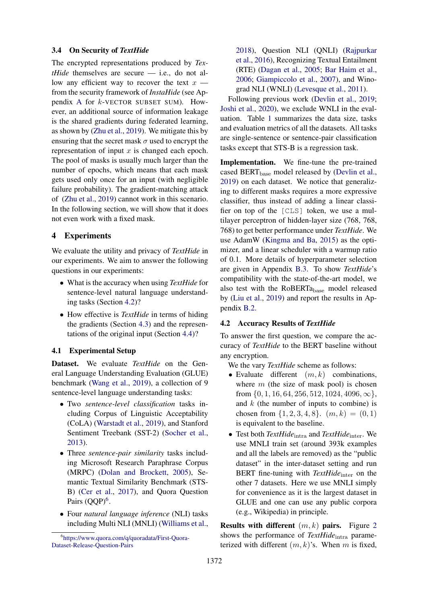## <span id="page-4-0"></span>3.4 On Security of *TextHide*

The encrypted representations produced by *TextHide* themselves are secure — i.e., do not allow any efficient way to recover the text  $x$ from the security framework of *InstaHide* (see Appendix [A](#page-12-0) for k-VECTOR SUBSET SUM). However, an additional source of information leakage is the shared gradients during federated learning, as shown by [\(Zhu et al.,](#page-11-2) [2019\)](#page-11-2). We mitigate this by ensuring that the secret mask  $\sigma$  used to encrypt the representation of input  $x$  is changed each epoch. The pool of masks is usually much larger than the number of epochs, which means that each mask gets used only once for an input (with negligible failure probability). The gradient-matching attack of [\(Zhu et al.,](#page-11-2) [2019\)](#page-11-2) cannot work in this scenario. In the following section, we will show that it does not even work with a fixed mask.

## 4 Experiments

We evaluate the utility and privacy of *TextHide* in our experiments. We aim to answer the following questions in our experiments:

- What is the accuracy when using *TextHide* for sentence-level natural language understanding tasks (Section [4.2\)](#page-4-1)?
- How effective is *TextHide* in terms of hiding the gradients (Section [4.3\)](#page-6-0) and the representations of the original input (Section [4.4\)](#page-6-1)?

## 4.1 Experimental Setup

Dataset. We evaluate *TextHide* on the General Language Understanding Evaluation (GLUE) benchmark [\(Wang et al.,](#page-11-5) [2019\)](#page-11-5), a collection of 9 sentence-level language understanding tasks:

- Two *sentence-level classification* tasks including Corpus of Linguistic Acceptability (CoLA) [\(Warstadt et al.,](#page-11-6) [2019\)](#page-11-6), and Stanford Sentiment Treebank (SST-2) [\(Socher et al.,](#page-11-7) [2013\)](#page-11-7).
- Three *sentence-pair similarity* tasks including Microsoft Research Paraphrase Corpus (MRPC) [\(Dolan and Brockett,](#page-9-8) [2005\)](#page-9-8), Semantic Textual Similarity Benchmark (STS-B) [\(Cer et al.,](#page-9-9) [2017\)](#page-9-9), and Quora Question Pairs (QQP)<sup>[6](#page-4-2)</sup>.
- Four *natural language inference* (NLI) tasks including Multi NLI (MNLI) [\(Williams et al.,](#page-11-8)

[2018\)](#page-11-8), Question NLI (QNLI) [\(Rajpurkar](#page-11-9) [et al.,](#page-11-9) [2016\)](#page-11-9), Recognizing Textual Entailment (RTE) [\(Dagan et al.,](#page-9-10) [2005;](#page-9-10) [Bar Haim et al.,](#page-9-11) [2006;](#page-9-11) [Giampiccolo et al.,](#page-9-12) [2007\)](#page-9-12), and Winograd NLI (WNLI) [\(Levesque et al.,](#page-10-6) [2011\)](#page-10-6).

Following previous work [\(Devlin et al.,](#page-9-5) [2019;](#page-9-5) [Joshi et al.,](#page-10-7) [2020\)](#page-10-7), we exclude WNLI in the evaluation. Table [1](#page-5-0) summarizes the data size, tasks and evaluation metrics of all the datasets. All tasks are single-sentence or sentence-pair classification tasks except that STS-B is a regression task.

Implementation. We fine-tune the pre-trained cased BERT<sub>base</sub> model released by [\(Devlin et al.,](#page-9-5) [2019\)](#page-9-5) on each dataset. We notice that generalizing to different masks requires a more expressive classifier, thus instead of adding a linear classifier on top of the [CLS] token, we use a multilayer perceptron of hidden-layer size (768, 768, 768) to get better performance under *TextHide*. We use AdamW [\(Kingma and Ba,](#page-10-8) [2015\)](#page-10-8) as the optimizer, and a linear scheduler with a warmup ratio of 0.1. More details of hyperparameter selection are given in Appendix [B.3.](#page-12-1) To show *TextHide*'s compatibility with the state-of-the-art model, we also test with the RoBERTa<sub>base</sub> model released by [\(Liu et al.,](#page-10-9) [2019\)](#page-10-9) and report the results in Appendix [B.2.](#page-12-2)

#### <span id="page-4-1"></span>4.2 Accuracy Results of *TextHide*

To answer the first question, we compare the accuracy of *TextHide* to the BERT baseline without any encryption.

We the vary *TextHide* scheme as follows:

- Evaluate different  $(m, k)$  combinations, where  $m$  (the size of mask pool) is chosen from  $\{0, 1, 16, 64, 256, 512, 1024, 4096, \infty\},\$ and  $k$  (the number of inputs to combine) is chosen from  $\{1, 2, 3, 4, 8\}$ .  $(m, k) = (0, 1)$ is equivalent to the baseline.
- Test both *TextHide*intra and *TextHide*inter. We use MNLI train set (around 393k examples and all the labels are removed) as the "public dataset" in the inter-dataset setting and run BERT fine-tuning with *TextHide*<sub>inter</sub> on the other 7 datasets. Here we use MNLI simply for convenience as it is the largest dataset in GLUE and one can use any public corpora (e.g., Wikipedia) in principle.

**Results with different**  $(m, k)$  **pairs.** Figure [2](#page-5-1) shows the performance of *TextHide*<sub>intra</sub> parameterized with different  $(m, k)$ 's. When m is fixed,

<span id="page-4-2"></span><sup>6</sup> [https://www.quora.com/q/quoradata/First-Quora-](https://www.quora.com/q/quoradata/First-Quora-Dataset-Release-Question-Pairs)[Dataset-Release-Question-Pairs](https://www.quora.com/q/quoradata/First-Quora-Dataset-Release-Question-Pairs)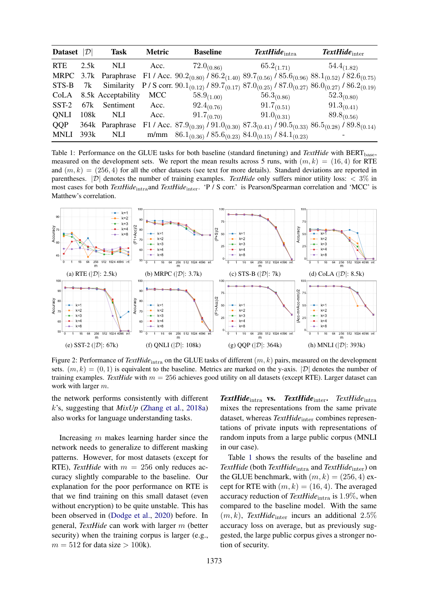<span id="page-5-0"></span>

| Dataset $ \mathcal{D} $ |      | Task                    | <b>Metric</b> | <b>Baseline</b>                                                                                                                                           | $\textit{TextHide}_{\text{intra}}$ | $\textit{TextHide}_{inter}$ |
|-------------------------|------|-------------------------|---------------|-----------------------------------------------------------------------------------------------------------------------------------------------------------|------------------------------------|-----------------------------|
| <b>RTE</b>              | 2.5k | NLI.                    | Acc.          | $72.0_{(0.86)}$                                                                                                                                           | $65.2_{(1.71)}$                    | $54.4_{(1.82)}$             |
|                         |      |                         |               | MRPC 3.7k Paraphrase F1 / Acc. $90.2_{(0.80)}$ / $86.2_{(1.40)}$ $89.7_{(0.56)}$ / $85.6_{(0.96)}$ $88.1_{(0.52)}$ / $82.6_{(0.75)}$                      |                                    |                             |
|                         |      |                         |               | STS-B 7k Similarity P/S corr. $90.1_{(0.12)}$ / $89.7_{(0.17)}$ $87.0_{(0.25)}$ / $87.0_{(0.27)}$ $86.0_{(0.27)}$ / $86.2_{(0.19)}$                       |                                    |                             |
|                         |      | CoLA 8.5k Acceptability | <b>MCC</b>    | $58.9_{(1.00)}$                                                                                                                                           | $56.3_{(0.86)}$                    | $52.3_{(0.80)}$             |
| $SST-2$                 | 67k  | Sentiment               | Acc.          | $92.4_{(0.76)}$                                                                                                                                           | $91.7_{(0.51)}$                    | $91.3_{(0.41)}$             |
| ONLI                    | 108k | NLI.                    | Acc.          | $91.7_{(0.70)}$                                                                                                                                           | $91.0_{(0.31)}$                    | $89.8_{(0.56)}$             |
| QQP                     |      | 364k Paraphrase         |               | F1 / Acc. 87.9 <sub>(0.39)</sub> / 91.0 <sub>(0.30)</sub> 87.3 <sub>(0.41)</sub> / 90.5 <sub>(0.33)</sub> 86.5 <sub>(0.28)</sub> / 89.8 <sub>(0.14)</sub> |                                    |                             |
| <b>MNLI</b>             | 393k | <b>NLI</b>              |               | m/mm $86.1_{(0.36)}$ / $85.6_{(0.23)}$ $84.0_{(0.15)}$ / $84.1_{(0.23)}$                                                                                  |                                    |                             |

Table 1: Performance on the GLUE tasks for both baseline (standard finetuning) and *TextHide* with BERT<sub>base</sub>, measured on the development sets. We report the mean results across 5 runs, with  $(m, k) = (16, 4)$  for RTE and  $(m, k) = (256, 4)$  for all the other datasets (see text for more details). Standard deviations are reported in parentheses.  $|\mathcal{D}|$  denotes the number of training examples. *TextHide* only suffers minor utility loss:  $\langle 3\% \rangle$  in most cases for both *TextHide*intraand *TextHide*inter. 'P / S corr.' is Pearson/Spearman correlation and 'MCC' is Matthew's correlation.

<span id="page-5-1"></span>

Figure 2: Performance of *TextHide*<sub>intra</sub> on the GLUE tasks of different  $(m, k)$  pairs, measured on the development sets.  $(m, k) = (0, 1)$  is equivalent to the baseline. Metrics are marked on the y-axis.  $|\mathcal{D}|$  denotes the number of training examples. *TextHide* with m = 256 achieves good utility on all datasets (except RTE). Larger dataset can work with larger m.

the network performs consistently with different k's, suggesting that *MixUp* [\(Zhang et al.,](#page-11-4) [2018a\)](#page-11-4) also works for language understanding tasks.

Increasing m makes learning harder since the network needs to generalize to different masking patterns. However, for most datasets (except for RTE), *TextHide* with  $m = 256$  only reduces accuracy slightly comparable to the baseline. Our explanation for the poor performance on RTE is that we find training on this small dataset (even without encryption) to be quite unstable. This has been observed in [\(Dodge et al.,](#page-9-13) [2020\)](#page-9-13) before. In general, *TextHide* can work with larger m (better security) when the training corpus is larger (e.g.,  $m = 512$  for data size  $> 100k$ .

*TextHide*intra vs. *TextHide*inter. *TextHide*intra mixes the representations from the same private dataset, whereas *TextHide*<sub>inter</sub> combines representations of private inputs with representations of random inputs from a large public corpus (MNLI in our case).

Table [1](#page-5-0) shows the results of the baseline and *TextHide* (both *TextHide*<sub>intra</sub> and *TextHide*<sub>inter</sub>) on the GLUE benchmark, with  $(m, k) = (256, 4)$  except for RTE with  $(m, k) = (16, 4)$ . The averaged accuracy reduction of *TextHide*<sub>intra</sub> is 1.9%, when compared to the baseline model. With the same  $(m, k)$ , *TextHide*<sub>inter</sub> incurs an additional 2.5% accuracy loss on average, but as previously suggested, the large public corpus gives a stronger notion of security.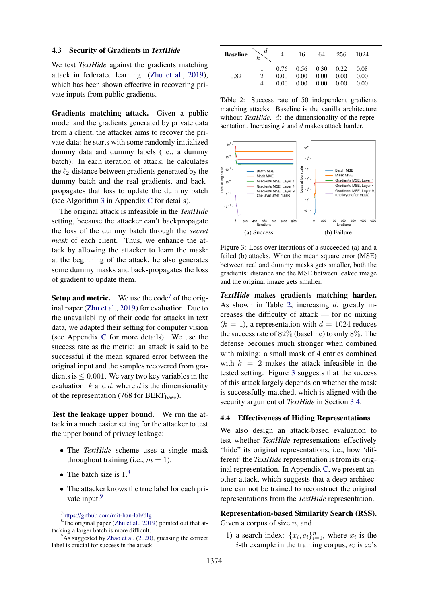## <span id="page-6-0"></span>4.3 Security of Gradients in *TextHide*

We test *TextHide* against the gradients matching attack in federated learning [\(Zhu et al.,](#page-11-2) [2019\)](#page-11-2), which has been shown effective in recovering private inputs from public gradients.

Gradients matching attack. Given a public model and the gradients generated by private data from a client, the attacker aims to recover the private data: he starts with some randomly initialized dummy data and dummy labels (i.e., a dummy batch). In each iteration of attack, he calculates the  $\ell_2$ -distance between gradients generated by the dummy batch and the real gradients, and backpropagates that loss to update the dummy batch (see Algorithm [3](#page-12-3) in Appendix [C](#page-12-4) for details).

The original attack is infeasible in the *TextHide* setting, because the attacker can't backpropagate the loss of the dummy batch through the *secret mask* of each client. Thus, we enhance the attack by allowing the attacker to learn the mask: at the beginning of the attack, he also generates some dummy masks and back-propagates the loss of gradient to update them.

**Setup and metric.** We use the code<sup>[7](#page-6-2)</sup> of the original paper [\(Zhu et al.,](#page-11-2) [2019\)](#page-11-2) for evaluation. Due to the unavailability of their code for attacks in text data, we adapted their setting for computer vision (see Appendix [C](#page-12-4) for more details). We use the success rate as the metric: an attack is said to be successful if the mean squared error between the original input and the samples recovered from gradients is  $\leq 0.001$ . We vary two key variables in the evaluation:  $k$  and  $d$ , where  $d$  is the dimensionality of the representation (768 for  $BERT_{base}$ ).

Test the leakage upper bound. We run the attack in a much easier setting for the attacker to test the upper bound of privacy leakage:

- The *TextHide* scheme uses a single mask throughout training (i.e.,  $m = 1$ ).
- The batch size is  $1<sup>8</sup>$  $1<sup>8</sup>$  $1<sup>8</sup>$
- The attacker knows the true label for each pri-vate input.<sup>[9](#page-6-4)</sup>

<span id="page-6-5"></span>

| 0.82 | $\left[\begin{array}{ccccc} 1 & 0.76 & 0.56 & 0.30 & 0.22 & 0.08 \\ 2 & 0.00 & 0.00 & 0.00 & 0.00 & 0.00 \\ 4 & 0.00 & 0.00 & 0.00 & 0.00 & 0.00 \end{array}\right]$ |  |  |  |
|------|----------------------------------------------------------------------------------------------------------------------------------------------------------------------|--|--|--|

Table 2: Success rate of 50 independent gradients matching attacks. Baseline is the vanilla architecture without *TextHide*. d: the dimensionality of the representation. Increasing  $k$  and  $d$  makes attack harder.

<span id="page-6-6"></span>

Figure 3: Loss over iterations of a succeeded (a) and a failed (b) attacks. When the mean square error (MSE) between real and dummy masks gets smaller, both the gradients' distance and the MSE between leaked image and the original image gets smaller.

*TextHide* makes gradients matching harder. As shown in Table [2,](#page-6-5) increasing d, greatly increases the difficulty of attack — for no mixing  $(k = 1)$ , a representation with  $d = 1024$  reduces the success rate of 82% (baseline) to only 8%. The defense becomes much stronger when combined with mixing: a small mask of 4 entries combined with  $k = 2$  makes the attack infeasible in the tested setting. Figure [3](#page-6-6) suggests that the success of this attack largely depends on whether the mask is successfully matched, which is aligned with the security argument of *TextHide* in Section [3.4.](#page-4-0)

#### <span id="page-6-1"></span>4.4 Effectiveness of Hiding Representations

We also design an attack-based evaluation to test whether *TextHide* representations effectively "hide" its original representations, i.e., how 'different' the *TextHide* representation is from its original representation. In Appendix [C,](#page-12-4) we present another attack, which suggests that a deep architecture can not be trained to reconstruct the original representations from the *TextHide* representation.

## Representation-based Similarity Search (RSS). Given a corpus of size  $n$ , and

1) a search index:  $\{x_i, e_i\}_{i=1}^n$ , where  $x_i$  is the *i*-th example in the training corpus,  $e_i$  is  $x_i$ 's

<span id="page-6-3"></span><span id="page-6-2"></span><sup>7</sup> <https://github.com/mit-han-lab/dlg>

<sup>&</sup>lt;sup>8</sup>The original paper [\(Zhu et al.,](#page-11-2) [2019\)](#page-11-2) pointed out that attacking a larger batch is more difficult.

<span id="page-6-4"></span> $9^9$ As suggested by [Zhao et al.](#page-11-10) [\(2020\)](#page-11-10), guessing the correct label is crucial for success in the attack.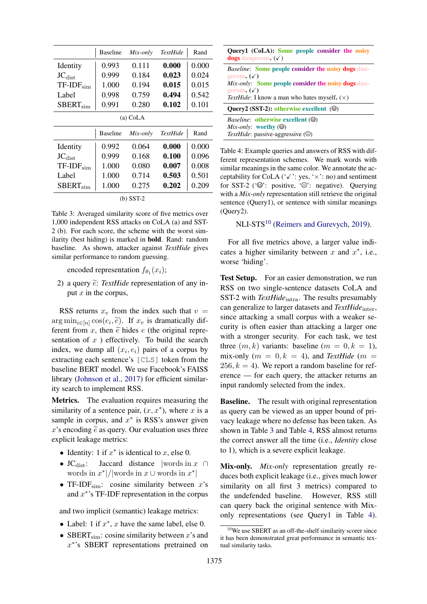<span id="page-7-1"></span>

|                                                        | <b>Baseline</b> | Mix-only | <b>TextHide</b> | Rand  |  |  |  |  |
|--------------------------------------------------------|-----------------|----------|-----------------|-------|--|--|--|--|
| Identity                                               | 0.993           | 0.111    | 0.000           | 0.000 |  |  |  |  |
| $\mathrm{JC}_{\mathrm{dist}}$                          | 0.999           | 0.184    | 0.023           | 0.024 |  |  |  |  |
| $TF-IDF_{sim}$                                         | 1.000           | 0.194    | 0.015           | 0.015 |  |  |  |  |
| Label                                                  | 0.998           | 0.759    | 0.494           | 0.542 |  |  |  |  |
| $SBERT_{sim}$                                          | 0.991           | 0.280    | 0.102           | 0.101 |  |  |  |  |
| (a) CoLA                                               |                 |          |                 |       |  |  |  |  |
| <b>Baseline</b><br>Rand<br><b>TextHide</b><br>Mix-only |                 |          |                 |       |  |  |  |  |
| Identity                                               | 0.992           | 0.064    | 0.000           | 0.000 |  |  |  |  |
| $JC_{\text{dist}}$                                     | 0.999           | 0.168    | 0.100           | 0.096 |  |  |  |  |
| $TF-IDFsim$                                            | 1.000           | 0.080    | 0.007           | 0.008 |  |  |  |  |
| Label                                                  | 1.000           | 0.714    | 0.503           | 0.501 |  |  |  |  |
| $SBERT_{sim}$                                          | 1.000           | 0.275    | 0.202           | 0.209 |  |  |  |  |
| $(b)$ SST-2                                            |                 |          |                 |       |  |  |  |  |

Table 3: Averaged similarity score of five metrics over 1,000 independent RSS attacks on CoLA (a) and SST-2 (b). For each score, the scheme with the worst similarity (best hiding) is marked in bold. Rand: random baseline. As shown, attacker against *TextHide* gives similar performance to random guessing.

encoded representation  $f_{\theta_1}(x_i)$ ;

2) a query  $\tilde{e}$ : *TextHide* representation of any input  $x$  in the corpus,

RSS returns  $x_v$  from the index such that  $v =$  $\arg \min_{i \in [n]} \cos(e_i, \tilde{e})$ . If  $x_v$  is dramatically different from  $x_v$  than  $\tilde{e}$  bidge  $e$  (the original range ferent from x, then  $\tilde{e}$  hides e (the original representation of  $x$ ) effectively. To build the search index, we dump all  $(x_i, e_i)$  pairs of a corpus by extracting each sentence's [CLS] token from the baseline BERT model. We use Facebook's FAISS library [\(Johnson et al.,](#page-10-10) [2017\)](#page-10-10) for efficient similarity search to implement RSS.

Metrics. The evaluation requires measuring the similarity of a sentence pair,  $(x, x^*)$ , where x is a sample in corpus, and  $x^*$  is RSS's answer given x's encoding  $\tilde{e}$  as query. Our evaluation uses three explicit leakage metrics:

- Identity: 1 if  $x^*$  is identical to  $x$ , else 0.
- JC<sub>dist</sub>: Jaccard distance |words in  $x \cap$ words in  $x^*$  |/|words in  $x \cup$  words in  $x^*$ |
- TF-IDF<sub>sim</sub>: cosine similarity between  $x$ 's and  $x^*$ 's TF-IDF representation in the corpus

and two implicit (semantic) leakage metrics:

- Label: 1 if  $x^*$ , x have the same label, else 0.
- SBERT<sub>sim</sub>: cosine similarity between x's and x ∗ 's SBERT representations pretrained on

<span id="page-7-2"></span>

| Query1 (CoLA): Some people consider the noisy<br><b>dogs</b> dangerous. $(\sqrt{})$                                                                                      |
|--------------------------------------------------------------------------------------------------------------------------------------------------------------------------|
| <i>Baseline:</i> Some people consider the noisy dogs dan-<br>gerous. $(\sqrt{ } )$<br><i>Mix-only:</i> Some people consider the noisy dogs dan-<br>gerous. $(\sqrt{ } )$ |
| <i>TextHide</i> : I know a man who hates myself. $(\times)$                                                                                                              |
| <b>Ouery2</b> (SST-2): otherwise excellent ( $\Theta$ )                                                                                                                  |
| <i>Baseline:</i> otherwise excellent ( $\circledcirc$ )<br><i>Mix-only:</i> worthy $(\Theta)$<br>TextHide: passive-aggressive $(\odot)$                                  |

Table 4: Example queries and answers of RSS with different representation schemes. We mark words with similar meanings in the same color. We annotate the acceptability for CoLA ( $\checkmark$ ): yes,  $\checkmark$ ): no) and sentiment for SST-2 ( $\circledcirc$ ): positive,  $\circledcirc$ ): negative). Querying with a *Mix-only* representation still retrieve the original sentence (Query1), or sentence with similar meanings (Query2).

NLI-STS<sup>[10](#page-7-0)</sup> [\(Reimers and Gurevych,](#page-11-11) [2019\)](#page-11-11).

For all five metrics above, a larger value indicates a higher similarity between  $x$  and  $x^*$ , i.e., worse 'hiding'.

Test Setup. For an easier demonstration, we run RSS on two single-sentence datasets CoLA and SST-2 with *TextHide*<sub>intra</sub>. The results presumably can generalize to larger datasets and *TextHide*<sub>inter</sub>, since attacking a small corpus with a weaker security is often easier than attacking a larger one with a stronger security. For each task, we test three  $(m, k)$  variants: baseline  $(m = 0, k = 1)$ , mix-only  $(m = 0, k = 4)$ , and *TextHide*  $(m = 1)$ 256,  $k = 4$ ). We report a random baseline for reference — for each query, the attacker returns an input randomly selected from the index.

**Baseline.** The result with original representation as query can be viewed as an upper bound of privacy leakage where no defense has been taken. As shown in Table [3](#page-7-1) and Table [4,](#page-7-2) RSS almost returns the correct answer all the time (i.e., *Identity* close to 1), which is a severe explicit leakage.

Mix-only. *Mix-only* representation greatly reduces both explicit leakage (i.e., gives much lower similarity on all first 3 metrics) compared to the undefended baseline. However, RSS still can query back the original sentence with Mixonly representations (see Query1 in Table [4\)](#page-7-2).

<span id="page-7-0"></span><sup>10</sup>We use SBERT as an off-the-shelf similarity scorer since it has been demonstrated great performance in semantic textual similarity tasks.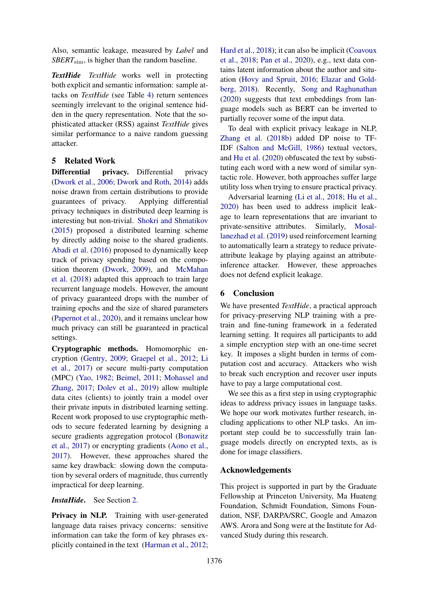Also, semantic leakage, measured by *Label* and *SBERT*sim, is higher than the random baseline.

*TextHide TextHide* works well in protecting both explicit and semantic information: sample attacks on *TextHide* (see Table [4\)](#page-7-2) return sentences seemingly irrelevant to the original sentence hidden in the query representation. Note that the sophisticated attacker (RSS) against *TextHide* gives similar performance to a naive random guessing attacker.

## 5 Related Work

Differential privacy. Differential privacy [\(Dwork et al.,](#page-9-2) [2006;](#page-9-2) [Dwork and Roth,](#page-9-14) [2014\)](#page-9-14) adds noise drawn from certain distributions to provide guarantees of privacy. Applying differential privacy techniques in distributed deep learning is interesting but non-trivial. [Shokri and Shmatikov](#page-11-12) [\(2015\)](#page-11-12) proposed a distributed learning scheme by directly adding noise to the shared gradients. [Abadi et al.](#page-9-4) [\(2016\)](#page-9-4) proposed to dynamically keep track of privacy spending based on the composition theorem [\(Dwork,](#page-9-3) [2009\)](#page-9-3), and [McMahan](#page-10-11) [et al.](#page-10-11) [\(2018\)](#page-10-11) adapted this approach to train large recurrent language models. However, the amount of privacy guaranteed drops with the number of training epochs and the size of shared parameters [\(Papernot et al.,](#page-10-12) [2020\)](#page-10-12), and it remains unclear how much privacy can still be guaranteed in practical settings.

Cryptographic methods. Homomorphic encryption [\(Gentry,](#page-9-1) [2009;](#page-9-1) [Graepel et al.,](#page-9-15) [2012;](#page-9-15) [Li](#page-10-13) [et al.,](#page-10-13) [2017\)](#page-10-13) or secure multi-party computation (MPC) [\(Yao,](#page-11-3) [1982;](#page-11-3) [Beimel,](#page-9-16) [2011;](#page-9-16) [Mohassel and](#page-10-14) [Zhang,](#page-10-14) [2017;](#page-10-14) [Dolev et al.,](#page-9-17) [2019\)](#page-9-17) allow multiple data cites (clients) to jointly train a model over their private inputs in distributed learning setting. Recent work proposed to use cryptographic methods to secure federated learning by designing a secure gradients aggregation protocol [\(Bonawitz](#page-9-18) [et al.,](#page-9-18) [2017\)](#page-9-18) or encrypting gradients [\(Aono et al.,](#page-9-19) [2017\)](#page-9-19). However, these approaches shared the same key drawback: slowing down the computation by several orders of magnitude, thus currently impractical for deep learning.

#### *InstaHide*. See Section [2.](#page-1-5)

Privacy in NLP. Training with user-generated language data raises privacy concerns: sensitive information can take the form of key phrases explicitly contained in the text [\(Harman et al.,](#page-10-15) [2012;](#page-10-15)

[Hard et al.,](#page-10-0) [2018\)](#page-10-0); it can also be implicit [\(Coavoux](#page-9-20) [et al.,](#page-9-20) [2018;](#page-9-20) [Pan et al.,](#page-10-16) [2020\)](#page-10-16), e.g., text data contains latent information about the author and situation [\(Hovy and Spruit,](#page-10-17) [2016;](#page-10-17) [Elazar and Gold](#page-9-21)[berg,](#page-9-21) [2018\)](#page-9-21). Recently, [Song and Raghunathan](#page-11-13) [\(2020\)](#page-11-13) suggests that text embeddings from language models such as BERT can be inverted to partially recover some of the input data.

To deal with explicit privacy leakage in NLP, [Zhang et al.](#page-11-14) [\(2018b\)](#page-11-14) added DP noise to TF-IDF [\(Salton and McGill,](#page-11-15) [1986\)](#page-11-15) textual vectors, and [Hu et al.](#page-10-18) [\(2020\)](#page-10-18) obfuscated the text by substituting each word with a new word of similar syntactic role. However, both approaches suffer large utility loss when trying to ensure practical privacy.

Adversarial learning [\(Li et al.,](#page-10-19) [2018;](#page-10-19) [Hu et al.,](#page-10-18) [2020\)](#page-10-18) has been used to address implicit leakage to learn representations that are invariant to private-sensitive attributes. Similarly, [Mosal](#page-10-20)[lanezhad et al.](#page-10-20) [\(2019\)](#page-10-20) used reinforcement learning to automatically learn a strategy to reduce privateattribute leakage by playing against an attributeinference attacker. However, these approaches does not defend explicit leakage.

### 6 Conclusion

We have presented *TextHide*, a practical approach for privacy-preserving NLP training with a pretrain and fine-tuning framework in a federated learning setting. It requires all participants to add a simple encryption step with an one-time secret key. It imposes a slight burden in terms of computation cost and accuracy. Attackers who wish to break such encryption and recover user inputs have to pay a large computational cost.

We see this as a first step in using cryptographic ideas to address privacy issues in language tasks. We hope our work motivates further research, including applications to other NLP tasks. An important step could be to successfully train language models directly on encrypted texts, as is done for image classifiers.

## Acknowledgements

This project is supported in part by the Graduate Fellowship at Princeton University, Ma Huateng Foundation, Schmidt Foundation, Simons Foundation, NSF, DARPA/SRC, Google and Amazon AWS. Arora and Song were at the Institute for Advanced Study during this research.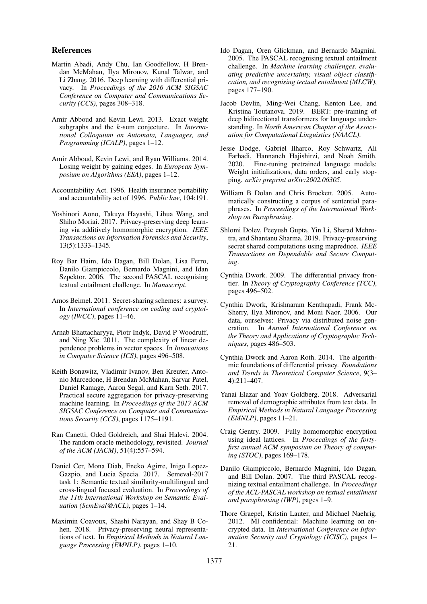## References

- <span id="page-9-4"></span>Martin Abadi, Andy Chu, Ian Goodfellow, H Brendan McMahan, Ilya Mironov, Kunal Talwar, and Li Zhang. 2016. Deep learning with differential privacy. In *Proceedings of the 2016 ACM SIGSAC Conference on Computer and Communications Security (CCS)*, pages 308–318.
- <span id="page-9-6"></span>Amir Abboud and Kevin Lewi. 2013. Exact weight subgraphs and the k-sum conjecture. In *International Colloquium on Automata, Languages, and Programming (ICALP)*, pages 1–12.
- <span id="page-9-23"></span>Amir Abboud, Kevin Lewi, and Ryan Williams. 2014. Losing weight by gaining edges. In *European Symposium on Algorithms (ESA)*, pages 1–12.
- <span id="page-9-0"></span>Accountability Act. 1996. Health insurance portability and accountability act of 1996. *Public law*, 104:191.
- <span id="page-9-19"></span>Yoshinori Aono, Takuya Hayashi, Lihua Wang, and Shiho Moriai. 2017. Privacy-preserving deep learning via additively homomorphic encryption. *IEEE Transactions on Information Forensics and Security*, 13(5):1333–1345.
- <span id="page-9-11"></span>Roy Bar Haim, Ido Dagan, Bill Dolan, Lisa Ferro, Danilo Giampiccolo, Bernardo Magnini, and Idan Szpektor. 2006. The second PASCAL recognising textual entailment challenge. In *Manuscript*.
- <span id="page-9-16"></span>Amos Beimel. 2011. Secret-sharing schemes: a survey. In *International conference on coding and cryptology (IWCC)*, pages 11–46.
- <span id="page-9-22"></span>Arnab Bhattacharyya, Piotr Indyk, David P Woodruff, and Ning Xie. 2011. The complexity of linear dependence problems in vector spaces. In *Innovations in Computer Science (ICS)*, pages 496–508.
- <span id="page-9-18"></span>Keith Bonawitz, Vladimir Ivanov, Ben Kreuter, Antonio Marcedone, H Brendan McMahan, Sarvar Patel, Daniel Ramage, Aaron Segal, and Karn Seth. 2017. Practical secure aggregation for privacy-preserving machine learning. In *Proceedings of the 2017 ACM SIGSAC Conference on Computer and Communications Security (CCS)*, pages 1175–1191.
- <span id="page-9-7"></span>Ran Canetti, Oded Goldreich, and Shai Halevi. 2004. The random oracle methodology, revisited. *Journal of the ACM (JACM)*, 51(4):557–594.
- <span id="page-9-9"></span>Daniel Cer, Mona Diab, Eneko Agirre, Inigo Lopez-Gazpio, and Lucia Specia. 2017. Semeval-2017 task 1: Semantic textual similarity-multilingual and cross-lingual focused evaluation. In *Proceedings of the 11th International Workshop on Semantic Evaluation (SemEval@ACL)*, pages 1–14.
- <span id="page-9-20"></span>Maximin Coavoux, Shashi Narayan, and Shay B Cohen. 2018. Privacy-preserving neural representations of text. In *Empirical Methods in Natural Language Processing (EMNLP)*, pages 1–10.
- <span id="page-9-10"></span>Ido Dagan, Oren Glickman, and Bernardo Magnini. 2005. The PASCAL recognising textual entailment challenge. In *Machine learning challenges. evaluating predictive uncertainty, visual object classification, and recognising tectual entailment (MLCW)*, pages 177–190.
- <span id="page-9-5"></span>Jacob Devlin, Ming-Wei Chang, Kenton Lee, and Kristina Toutanova. 2019. BERT: pre-training of deep bidirectional transformers for language understanding. In *North American Chapter of the Association for Computational Linguistics (NAACL)*.
- <span id="page-9-13"></span>Jesse Dodge, Gabriel Ilharco, Roy Schwartz, Ali Farhadi, Hannaneh Hajishirzi, and Noah Smith. 2020. Fine-tuning pretrained language models: Weight initializations, data orders, and early stopping. *arXiv preprint arXiv:2002.06305*.
- <span id="page-9-8"></span>William B Dolan and Chris Brockett. 2005. Automatically constructing a corpus of sentential paraphrases. In *Proceedings of the International Workshop on Paraphrasing*.
- <span id="page-9-17"></span>Shlomi Dolev, Peeyush Gupta, Yin Li, Sharad Mehrotra, and Shantanu Sharma. 2019. Privacy-preserving secret shared computations using mapreduce. *IEEE Transactions on Dependable and Secure Computing*.
- <span id="page-9-3"></span>Cynthia Dwork. 2009. The differential privacy frontier. In *Theory of Cryptography Conference (TCC)*, pages 496–502.
- <span id="page-9-2"></span>Cynthia Dwork, Krishnaram Kenthapadi, Frank Mc-Sherry, Ilya Mironov, and Moni Naor. 2006. Our data, ourselves: Privacy via distributed noise generation. In *Annual International Conference on the Theory and Applications of Cryptographic Techniques*, pages 486–503.
- <span id="page-9-14"></span>Cynthia Dwork and Aaron Roth. 2014. The algorithmic foundations of differential privacy. *Foundations and Trends in Theoretical Computer Science*, 9(3– 4):211–407.
- <span id="page-9-21"></span>Yanai Elazar and Yoav Goldberg. 2018. Adversarial removal of demographic attributes from text data. In *Empirical Methods in Natural Language Processing (EMNLP)*, pages 11–21.
- <span id="page-9-1"></span>Craig Gentry. 2009. Fully homomorphic encryption using ideal lattices. In *Proceedings of the fortyfirst annual ACM symposium on Theory of computing (STOC)*, pages 169–178.
- <span id="page-9-12"></span>Danilo Giampiccolo, Bernardo Magnini, Ido Dagan, and Bill Dolan. 2007. The third PASCAL recognizing textual entailment challenge. In *Proceedings of the ACL-PASCAL workshop on textual entailment and paraphrasing (IWP)*, pages 1–9.
- <span id="page-9-15"></span>Thore Graepel, Kristin Lauter, and Michael Naehrig. 2012. Ml confidential: Machine learning on encrypted data. In *International Conference on Information Security and Cryptology (ICISC)*, pages 1– 21.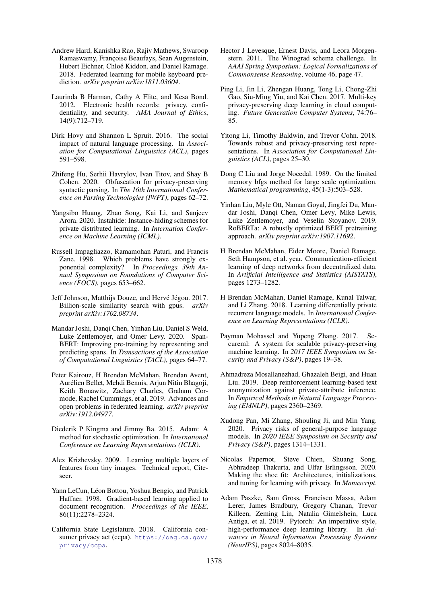- <span id="page-10-0"></span>Andrew Hard, Kanishka Rao, Rajiv Mathews, Swaroop Ramaswamy, Françoise Beaufays, Sean Augenstein, Hubert Eichner, Chloé Kiddon, and Daniel Ramage. 2018. Federated learning for mobile keyboard prediction. *arXiv preprint arXiv:1811.03604*.
- <span id="page-10-15"></span>Laurinda B Harman, Cathy A Flite, and Kesa Bond. 2012. Electronic health records: privacy, confidentiality, and security. *AMA Journal of Ethics*, 14(9):712–719.
- <span id="page-10-17"></span>Dirk Hovy and Shannon L Spruit. 2016. The social impact of natural language processing. In *Association for Computational Linguistics (ACL)*, pages 591–598.
- <span id="page-10-18"></span>Zhifeng Hu, Serhii Havrylov, Ivan Titov, and Shay B Cohen. 2020. Obfuscation for privacy-preserving syntactic parsing. In *The 16th International Conference on Parsing Technologies (IWPT)*, pages 62–72.
- <span id="page-10-4"></span>Yangsibo Huang, Zhao Song, Kai Li, and Sanjeev Arora. 2020. Instahide: Instance-hiding schemes for private distributed learning. In *Internation Conference on Machine Learning (ICML)*.
- <span id="page-10-5"></span>Russell Impagliazzo, Ramamohan Paturi, and Francis Zane. 1998. Which problems have strongly exponential complexity? In *Proceedings. 39th Annual Symposium on Foundations of Computer Science (FOCS)*, pages 653–662.
- <span id="page-10-10"></span>Jeff Johnson, Matthijs Douze, and Hervé Jégou. 2017. Billion-scale similarity search with gpus. *arXiv preprint arXiv:1702.08734*.
- <span id="page-10-7"></span>Mandar Joshi, Danqi Chen, Yinhan Liu, Daniel S Weld, Luke Zettlemoyer, and Omer Levy. 2020. Span-BERT: Improving pre-training by representing and predicting spans. In *Transactions of the Association of Computational Linguistics (TACL)*, pages 64–77.
- <span id="page-10-3"></span>Peter Kairouz, H Brendan McMahan, Brendan Avent, Aurelien Bellet, Mehdi Bennis, Arjun Nitin Bhagoji, ´ Keith Bonawitz, Zachary Charles, Graham Cormode, Rachel Cummings, et al. 2019. Advances and open problems in federated learning. *arXiv preprint arXiv:1912.04977*.
- <span id="page-10-8"></span>Diederik P Kingma and Jimmy Ba. 2015. Adam: A method for stochastic optimization. In *International Conference on Learning Representations (ICLR)*.
- <span id="page-10-22"></span>Alex Krizhevsky. 2009. Learning multiple layers of features from tiny images. Technical report, Citeseer.
- <span id="page-10-23"></span>Yann LeCun, Léon Bottou, Yoshua Bengio, and Patrick Haffner. 1998. Gradient-based learning applied to document recognition. *Proceedings of the IEEE*, 86(11):2278–2324.
- <span id="page-10-1"></span>California State Legislature. 2018. California consumer privacy act (ccpa). [https://oag.ca.gov/](https://oag.ca.gov/privacy/ccpa) [privacy/ccpa](https://oag.ca.gov/privacy/ccpa).
- <span id="page-10-6"></span>Hector J Levesque, Ernest Davis, and Leora Morgenstern. 2011. The Winograd schema challenge. In *AAAI Spring Symposium: Logical Formalizations of Commonsense Reasoning*, volume 46, page 47.
- <span id="page-10-13"></span>Ping Li, Jin Li, Zhengan Huang, Tong Li, Chong-Zhi Gao, Siu-Ming Yiu, and Kai Chen. 2017. Multi-key privacy-preserving deep learning in cloud computing. *Future Generation Computer Systems*, 74:76– 85.
- <span id="page-10-19"></span>Yitong Li, Timothy Baldwin, and Trevor Cohn. 2018. Towards robust and privacy-preserving text representations. In *Association for Computational Linguistics (ACL)*, pages 25–30.
- <span id="page-10-24"></span>Dong C Liu and Jorge Nocedal. 1989. On the limited memory bfgs method for large scale optimization. *Mathematical programming*, 45(1-3):503–528.
- <span id="page-10-9"></span>Yinhan Liu, Myle Ott, Naman Goyal, Jingfei Du, Mandar Joshi, Danqi Chen, Omer Levy, Mike Lewis, Luke Zettlemoyer, and Veselin Stoyanov. 2019. RoBERTa: A robustly optimized BERT pretraining approach. *arXiv preprint arXiv:1907.11692*.
- <span id="page-10-2"></span>H Brendan McMahan, Eider Moore, Daniel Ramage, Seth Hampson, et al. year. Communication-efficient learning of deep networks from decentralized data. In *Artificial Intelligence and Statistics (AISTATS)*, pages 1273–1282.
- <span id="page-10-11"></span>H Brendan McMahan, Daniel Ramage, Kunal Talwar, and Li Zhang. 2018. Learning differentially private recurrent language models. In *International Conference on Learning Representations (ICLR)*.
- <span id="page-10-14"></span>Payman Mohassel and Yupeng Zhang. 2017. Secureml: A system for scalable privacy-preserving machine learning. In *2017 IEEE Symposium on Security and Privacy (S&P)*, pages 19–38.
- <span id="page-10-20"></span>Ahmadreza Mosallanezhad, Ghazaleh Beigi, and Huan Liu. 2019. Deep reinforcement learning-based text anonymization against private-attribute inference. In *Empirical Methods in Natural Language Processing (EMNLP)*, pages 2360–2369.
- <span id="page-10-16"></span>Xudong Pan, Mi Zhang, Shouling Ji, and Min Yang. 2020. Privacy risks of general-purpose language models. In *2020 IEEE Symposium on Security and Privacy (S&P)*, pages 1314–1331.
- <span id="page-10-12"></span>Nicolas Papernot, Steve Chien, Shuang Song, Abhradeep Thakurta, and Ulfar Erlingsson. 2020. Making the shoe fit: Architectures, initializations, and tuning for learning with privacy. In *Manuscript*.
- <span id="page-10-21"></span>Adam Paszke, Sam Gross, Francisco Massa, Adam Lerer, James Bradbury, Gregory Chanan, Trevor Killeen, Zeming Lin, Natalia Gimelshein, Luca Antiga, et al. 2019. Pytorch: An imperative style, high-performance deep learning library. In *Advances in Neural Information Processing Systems (NeurIPS)*, pages 8024–8035.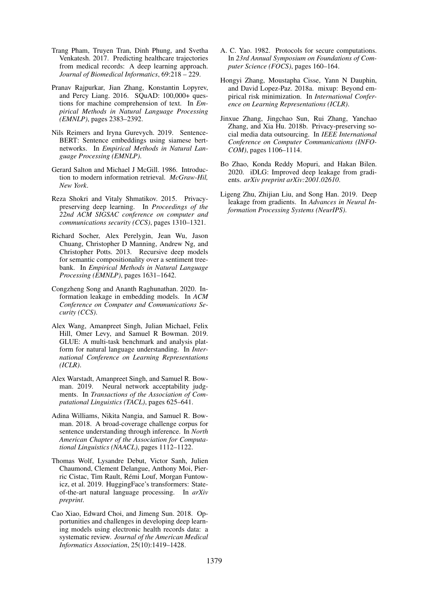- <span id="page-11-0"></span>Trang Pham, Truyen Tran, Dinh Phung, and Svetha Venkatesh. 2017. Predicting healthcare trajectories from medical records: A deep learning approach. *Journal of Biomedical Informatics*, 69:218 – 229.
- <span id="page-11-9"></span>Pranav Rajpurkar, Jian Zhang, Konstantin Lopyrev, and Percy Liang. 2016. SQuAD: 100,000+ questions for machine comprehension of text. In *Empirical Methods in Natural Language Processing (EMNLP)*, pages 2383–2392.
- <span id="page-11-11"></span>Nils Reimers and Iryna Gurevych. 2019. Sentence-BERT: Sentence embeddings using siamese bertnetworks. In *Empirical Methods in Natural Language Processing (EMNLP)*.
- <span id="page-11-15"></span>Gerard Salton and Michael J McGill. 1986. Introduction to modern information retrieval. *McGraw-Hil, New York*.
- <span id="page-11-12"></span>Reza Shokri and Vitaly Shmatikov. 2015. Privacypreserving deep learning. In *Proceedings of the 22nd ACM SIGSAC conference on computer and communications security (CCS)*, pages 1310–1321.
- <span id="page-11-7"></span>Richard Socher, Alex Perelygin, Jean Wu, Jason Chuang, Christopher D Manning, Andrew Ng, and Christopher Potts. 2013. Recursive deep models for semantic compositionality over a sentiment treebank. In *Empirical Methods in Natural Language Processing (EMNLP)*, pages 1631–1642.
- <span id="page-11-13"></span>Congzheng Song and Ananth Raghunathan. 2020. Information leakage in embedding models. In *ACM Conference on Computer and Communications Security (CCS)*.
- <span id="page-11-5"></span>Alex Wang, Amanpreet Singh, Julian Michael, Felix Hill, Omer Levy, and Samuel R Bowman. 2019. GLUE: A multi-task benchmark and analysis platform for natural language understanding. In *International Conference on Learning Representations (ICLR)*.
- <span id="page-11-6"></span>Alex Warstadt, Amanpreet Singh, and Samuel R. Bowman. 2019. Neural network acceptability judgments. In *Transactions of the Association of Computational Linguistics (TACL)*, pages 625–641.
- <span id="page-11-8"></span>Adina Williams, Nikita Nangia, and Samuel R. Bowman. 2018. A broad-coverage challenge corpus for sentence understanding through inference. In *North American Chapter of the Association for Computational Linguistics (NAACL)*, pages 1112–1122.
- <span id="page-11-16"></span>Thomas Wolf, Lysandre Debut, Victor Sanh, Julien Chaumond, Clement Delangue, Anthony Moi, Pierric Cistac, Tim Rault, Rémi Louf, Morgan Funtowicz, et al. 2019. HuggingFace's transformers: Stateof-the-art natural language processing. In *arXiv preprint*.
- <span id="page-11-1"></span>Cao Xiao, Edward Choi, and Jimeng Sun. 2018. Opportunities and challenges in developing deep learning models using electronic health records data: a systematic review. *Journal of the American Medical Informatics Association*, 25(10):1419–1428.
- <span id="page-11-3"></span>A. C. Yao. 1982. Protocols for secure computations. In *23rd Annual Symposium on Foundations of Computer Science (FOCS)*, pages 160–164.
- <span id="page-11-4"></span>Hongyi Zhang, Moustapha Cisse, Yann N Dauphin, and David Lopez-Paz. 2018a. mixup: Beyond empirical risk minimization. In *International Conference on Learning Representations (ICLR)*.
- <span id="page-11-14"></span>Jinxue Zhang, Jingchao Sun, Rui Zhang, Yanchao Zhang, and Xia Hu. 2018b. Privacy-preserving social media data outsourcing. In *IEEE International Conference on Computer Communications (INFO-COM)*, pages 1106–1114.
- <span id="page-11-10"></span>Bo Zhao, Konda Reddy Mopuri, and Hakan Bilen. 2020. iDLG: Improved deep leakage from gradients. *arXiv preprint arXiv:2001.02610*.
- <span id="page-11-2"></span>Ligeng Zhu, Zhijian Liu, and Song Han. 2019. Deep leakage from gradients. In *Advances in Neural Information Processing Systems (NeurIPS)*.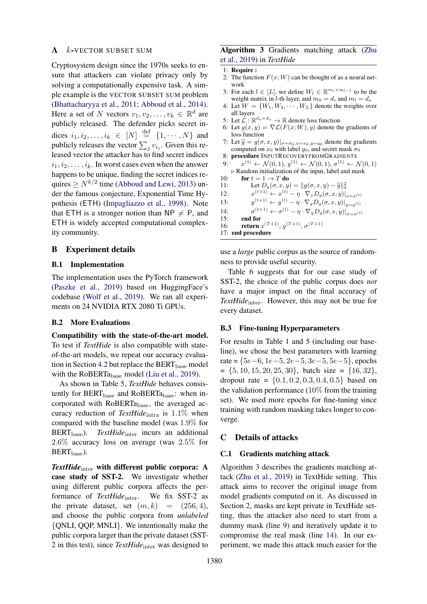## <span id="page-12-0"></span> $A$  *k*-VECTOR SUBSET SUM

Cryptosystem design since the 1970s seeks to ensure that attackers can violate privacy only by solving a computationally expensive task. A simple example is the VECTOR SUBSET SUM problem [\(Bhattacharyya et al.,](#page-9-22) [2011;](#page-9-22) [Abboud et al.,](#page-9-23) [2014\)](#page-9-23). Here a set of N vectors  $v_1, v_2, \dots, v_k \in \mathbb{R}^d$  are publicly released. The defender picks secret indices  $i_1, i_2, \ldots, i_k \in [N] \stackrel{\text{def}}{=} \{1, \cdots, N\}$  and publicly releases the vector  $\sum_j v_{i_j}$ . Given this released vector the attacker has to find secret indices  $i_1, i_2, \ldots, i_k$ . In worst cases even when the answer happens to be unique, finding the secret indices requires  $\geq N^{k/2}$  time [\(Abboud and Lewi,](#page-9-6) [2013\)](#page-9-6) under the famous conjecture, Exponential Time Hypothesis (ETH) [\(Impagliazzo et al.,](#page-10-5) [1998\)](#page-10-5). Note that ETH is a stronger notion than  $NP \neq P$ , and ETH is widely accepted computational complexity community.

## B Experiment details

#### B.1 Implementation

The implementation uses the PyTorch framework [\(Paszke et al.,](#page-10-21) [2019\)](#page-10-21) based on HuggingFace's codebase [\(Wolf et al.,](#page-11-16) [2019\)](#page-11-16). We ran all experiments on 24 NVIDIA RTX 2080 Ti GPUs.

#### <span id="page-12-2"></span>B.2 More Evaluations

Compatibility with the state-of-the-art model. To test if *TextHide* is also compatible with stateof-the-art models, we repeat our accuracy evalua-tion in Section [4.2](#page-4-1) but replace the BERT<sub>base</sub> model with the RoBERT $a_{base}$  model [\(Liu et al.,](#page-10-9) [2019\)](#page-10-9).

As shown in Table [5,](#page-13-0) *TextHide* behaves consistently for  $BERT_{base}$  and  $RoBERT_{base}$ : when incorporated with RoBERTabase, the averaged accuracy reduction of *TextHide*<sub>intra</sub> is 1.1% when compared with the baseline model (was 1.9% for BERT<sub>base</sub>). *TextHide*<sub>inter</sub> incurs an additional 2.6% accuracy loss on average (was 2.5% for  $BERT_{base}$ ).

*TextHide*<sub>inter</sub> with different public corpora: A case study of SST-2. We investigate whether using different public corpora affects the performance of *TextHide*<sub>inter</sub>. We fix SST-2 as the private dataset, set  $(m, k)$  =  $(256, 4)$ , and choose the public corpora from *unlabeled* {QNLI, QQP, MNLI}. We intentionally make the public corpora larger than the private dataset (SST-2 in this test), since *TextHide*inter was designed to

## <span id="page-12-3"></span>Algorithm 3 Gradients matching attack [\(Zhu](#page-11-2) [et al.,](#page-11-2) [2019\)](#page-11-2) in *TextHide*

```
1: Require :
```
- 2: The function  $F(x;W)$  can be thought of as a neural network
- 3: For each  $l \in [L]$ , we define  $W_l \in \mathbb{R}^{m_l \times m_{l-1}}$  to be the weight matrix in *l*-th layer, and  $m_0 = d_i$  and  $m_l = d_o$
- 4: Let  $W = \{W_1, W_2, \cdots, W_L\}$  denote the weights over all layers
- 5: Let  $\mathcal{L}: \mathbb{R}^{d_o \times d_o} \to \mathbb{R}$  denote loss function
- 6: Let  $g(x, y) = \nabla \mathcal{L}(F(x; W), y)$  denote the gradients of loss function
- 7: Let  $\hat{g} = g(\sigma, x, y)|_{\sigma = \sigma_0, x=x_0, y=y_0}$  denote the gradients computed on  $x_0$  with label  $y_0$ , and secret mask  $\sigma_0$
- 8: procedure INPUTRECOVERYFROMGRADIENTS
- 9:  $x^{(1)} \leftarrow \mathcal{N}(0, 1), y^{(1)} \leftarrow \mathcal{N}(0, 1), \sigma^{(1)} \leftarrow \mathcal{N}(0, 1)$  $\triangleright$  Random initialization of the input, label and mask
- 10: for  $t = 1 \rightarrow T$  do
- 11: Let  $D_g(\sigma, x, y) = ||g(\sigma, x, y) \hat{g}||_2^2$ <br>
12.  $g(t+1) \left( \begin{array}{cc} x(t) & x \\ y(t) & x(t) \end{array} \right)$
- $12:$  $(x^{(t+1)} \leftarrow x^{(t)} - \eta \cdot \nabla_x D_g(\sigma, x, y)|_{x=x^{(t)}}$
- $13:$  $y^{(t+1)} \leftarrow y^{(t)} - \eta \cdot \nabla_y D_g(\sigma, x, y)|_{y=y^{(t)}}$
- $14$  $\mathcal{L}^{(t+1)} \leftarrow \sigma^{(t)} - \eta \cdot \nabla_y D_g(\sigma, x, y)|_{\sigma = \sigma^{(t)}}$
- 15: end for
- 16: **return**  $x^{(T+1)}$ ,  $y^{(T+1)}$ ,  $\sigma^{(T+1)}$ 17: end procedure

use a *large* public corpus as the source of randomness to provide useful security.

Table [6](#page-13-1) suggests that for our case study of SST-2, the choice of the public corpus does *not* have a major impact on the final accuracy of TextHide<sub>inter</sub>. However, this may not be true for every dataset.

## <span id="page-12-1"></span>B.3 Fine-tuning Hyperparameters

For results in Table [1](#page-5-0) and [5](#page-13-0) (including our baseline), we chose the best parameters with learning rate =  ${5e-6, 1e-5, 2e-5, 3e-5, 5e-5}$ , epochs  $= \{5, 10, 15, 20, 25, 30\}$ , batch size  $= \{16, 32\}$ , dropout rate =  $\{0.1, 0.2, 0.3, 0.4, 0.5\}$  based on the validation performance  $(10\%$  from the training set). We used more epochs for fine-tuning since training with random masking takes longer to converge.

### <span id="page-12-4"></span>C Details of attacks

### C.1 Gradients matching attack

Algorithm [3](#page-12-3) describes the gradients matching attack [\(Zhu et al.,](#page-11-2) [2019\)](#page-11-2) in TextHide setting. This attack aims to recover the original image from model gradients computed on it. As discussed in Section [2,](#page-1-5) masks are kept private in TextHide setting, thus the attacker also need to start from a dummy mask (line [9\)](#page-12-3) and iteratively update it to compromise the real mask (line [14\)](#page-12-3). In our experiment, we made this attack much easier for the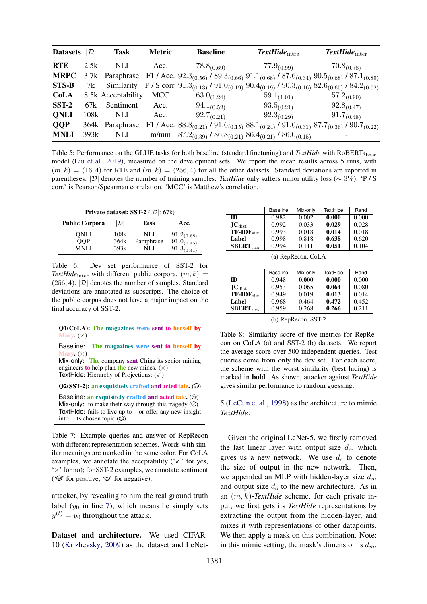<span id="page-13-0"></span>

| Datasets $ \mathcal{D} $ |      | <b>Task</b>        | <b>Metric</b> | <b>Baseline</b>                                                                                                                                           | $\textit{TextHide}_{\text{intra}}$ | $\textit{TextHide}_{inter}$ |
|--------------------------|------|--------------------|---------------|-----------------------------------------------------------------------------------------------------------------------------------------------------------|------------------------------------|-----------------------------|
| <b>RTE</b>               | 2.5k | NLI                | Acc.          | $78.8_{(0.69)}$                                                                                                                                           | $77.9_{(0.99)}$                    | $70.8_{(0.78)}$             |
| <b>MRPC</b>              |      |                    |               | 3.7k Paraphrase F1 / Acc. $92.3_{(0.56)}$ / $89.3_{(0.66)}$ $91.1_{(0.68)}$ / $87.6_{(0.34)}$ $90.5_{(0.68)}$ / $87.1_{(0.89)}$                           |                                    |                             |
| <b>STS-B</b>             | 7k   |                    |               | Similarity P/S corr. $91.3_{(0.13)}$ / $91.0_{(0.19)}$ $90.4_{(0.19)}$ / $90.3_{(0.16)}$ $82.6_{(0.65)}$ / $84.2_{(0.52)}$                                |                                    |                             |
| <b>CoLA</b>              |      | 8.5k Acceptability | MCC           | $63.0_{(1.24)}$                                                                                                                                           | $59.1_{(1.01)}$                    | $57.2_{(0.90)}$             |
| $SST-2$                  | 67k  | Sentiment          | Acc.          | $94.1_{(0.52)}$                                                                                                                                           | $93.5_{(0.21)}$                    | $92.8_{(0.47)}$             |
| <b>QNLI</b>              | 108k | NLI.               | Acc.          | $92.7_{(0.21)}$                                                                                                                                           | $92.3_{(0.29)}$                    | $91.7_{(0.48)}$             |
| <b>QQP</b>               |      | 364k Paraphrase    |               | F1 / Acc. 88.8 <sub>(0.21)</sub> / 91.6 <sub>(0.15)</sub> 88.1 <sub>(0.24)</sub> / 91.0 <sub>(0.31)</sub> 87.7 <sub>(0.36)</sub> / 90.7 <sub>(0.22)</sub> |                                    |                             |
| <b>MNLI</b>              | 393k | NLI                |               | m/mm $87.2_{(0.39)}$ / $86.8_{(0.21)}$ $86.4_{(0.21)}$ / $86.0_{(0.15)}$                                                                                  |                                    |                             |

Table 5: Performance on the GLUE tasks for both baseline (standard finetuning) and *TextHide* with RoBERTa<sub>base</sub> model [\(Liu et al.,](#page-10-9) [2019\)](#page-10-9), measured on the development sets. We report the mean results across 5 runs, with  $(m, k) = (16, 4)$  for RTE and  $(m, k) = (256, 4)$  for all the other datasets. Standard deviations are reported in parentheses. |D| denotes the number of training samples. *TextHide* only suffers minor utility loss (∼ 3%). 'P / S corr.' is Pearson/Spearman correlation. 'MCC' is Matthew's correlation.

<span id="page-13-1"></span>

| <b>Private dataset: SST-2</b> ( $ \mathcal{D} $ : 67k) |                 |            |                                    |  |  |  |
|--------------------------------------------------------|-----------------|------------|------------------------------------|--|--|--|
| <b>Public Corpora</b>                                  | $ \mathcal{D} $ | Task       | Acc.                               |  |  |  |
| ONLI                                                   | 108k            | NLI        |                                    |  |  |  |
| <b>QQP</b>                                             | 364k            | Paraphrase | $91.2_{(0.68)}$<br>$91.0_{(0.45)}$ |  |  |  |
| <b>MNLI</b>                                            | 393k            | NLI        | $91.3_{(0.41)}$                    |  |  |  |

Table 6: Dev set performance of SST-2 for *TextHide*<sub>inter</sub> with different public corpora,  $(m, k)$  =  $(256, 4)$ .  $|\mathcal{D}|$  denotes the number of samples. Standard deviations are annotated as subscripts. The choice of the public corpus does not have a major impact on the final accuracy of SST-2.

<span id="page-13-3"></span>

| Q1(CoLA): The magazines were sent to herself by<br>Mary. $(x)$                                                                                                                                                                 |
|--------------------------------------------------------------------------------------------------------------------------------------------------------------------------------------------------------------------------------|
| Baseline: The magazines were sent to herself by<br>Mary. $(x)$<br>Mix-only: The company sent China its senior mining<br>engineers to help plan the new mines. $(\times)$<br>TextHide: Hierarchy of Projections: $(\checkmark)$ |
| Q2(SST-2): an exquisitely crafted and acted tale. (@)                                                                                                                                                                          |
| Baseline: an exquisitely crafted and acted tale. $(\Theta)$<br>Mix-only: to make their way through this tragedy $(\odot)$<br>TextHide: fails to live up to $-$ or offer any new insight<br>into – its chosen topic $(\odot)$   |

Table 7: Example queries and answer of RepRecon with different representation schemes. Words with similar meanings are marked in the same color. For CoLA examples, we annotate the acceptability  $(\sqrt{\cdot})$  for yes, '×' for no); for SST-2 examples, we annotate sentiment ( $\circ$  for positive,  $\circ$  for negative).

attacker, by revealing to him the real ground truth label  $(y_0$  in line [7\)](#page-12-3), which means he simply sets  $y^{(t)} = y_0$  throughout the attack.

Dataset and architecture. We used CIFAR-10 [\(Krizhevsky,](#page-10-22) [2009\)](#page-10-22) as the dataset and LeNet-

<span id="page-13-2"></span>

|                             | <b>Baseline</b> | Mix-only | TextHide | Rand  |
|-----------------------------|-----------------|----------|----------|-------|
| ID                          | 0.982           | 0.002    | 0.000    | 0.000 |
| $\mathbf{JC}_{\text{dist}}$ | 0.992           | 0.033    | 0.029    | 0.028 |
| $TF-IDF_{sim}$              | 0.993           | 0.018    | 0.014    | 0.018 |
| Label                       | 0.998           | 0.818    | 0.638    | 0.620 |
| SBERT <sub>sim</sub>        | 0.994           | 0.111    | 0.051    | 0.104 |

(a) RepRecon, CoLA

|                                      | <b>Baseline</b> | Mix-only | <b>TextHide</b> | Rand  |
|--------------------------------------|-----------------|----------|-----------------|-------|
| <b>ID</b>                            | 0.948           | 0.000    | 0.000           | 0.000 |
| $\mathbf{J}\mathbf{C}_{\text{dist}}$ | 0.953           | 0.065    | 0.064           | 0.080 |
| $TF$ -ID $F_{sim}$                   | 0.949           | 0.019    | 0.013           | 0.014 |
| Label                                | 0.968           | 0.464    | 0.472           | 0.452 |
| SBERT <sub>sim</sub>                 | 0.959           | 0.268    | 0.266           | 0.211 |

(b) RepRecon, SST-2

Table 8: Similarity score of five metrics for RepRecon on CoLA (a) and SST-2 (b) datasets. We report the average score over 500 independent queries. Test queries come from only the dev set. For each score, the scheme with the worst similarity (best hiding) is marked in bold. As shown, attacker against *TextHide* gives similar performance to random guessing.

5 [\(LeCun et al.,](#page-10-23) [1998\)](#page-10-23) as the architecture to mimic *TextHide*.

Given the original LeNet-5, we firstly removed the last linear layer with output size  $d_o$ , which gives us a new network. We use  $d_c$  to denote the size of output in the new network. Then, we appended an MLP with hidden-layer size  $d_m$ and output size  $d<sub>o</sub>$  to the new architecture. As in an (m, k)-*TextHide* scheme, for each private input, we first gets its *TextHide* representations by extracting the output from the hidden-layer, and mixes it with representations of other datapoints. We then apply a mask on this combination. Note: in this mimic setting, the mask's dimension is  $d_m$ .